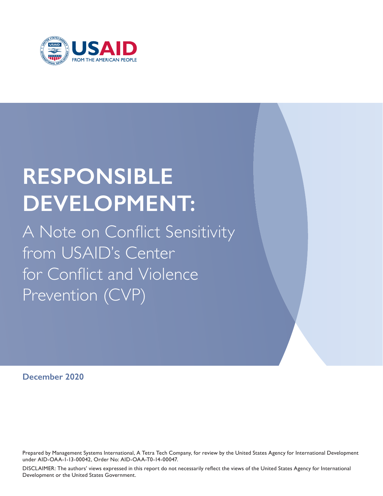

# **RESPONSIBLE DEVELOPMENT:**

A Note on Conflict Sensitivity from USAID's Center for Conflict and Violence Prevention (CVP)

**December 2020**

Prepared by Management Systems International, A Tetra Tech Company, for review by the United States Agency for International Development under AID-OAA-1-13-00042, Order No: AID-OAA-T0-14-00047.

DISCLAIMER: The authors' views expressed in this report do not necessarily reflect the views of the United States Agency for International Development or the United States Government.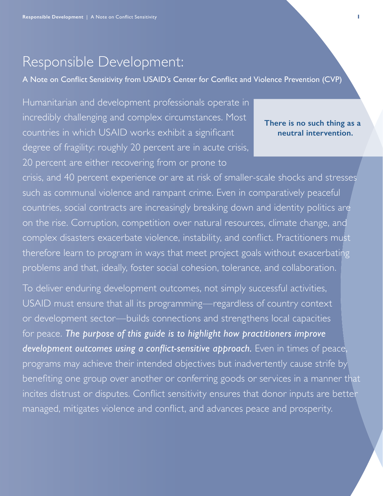# Responsible Development:

A Note on Conflict Sensitivity from USAID's Center for Conflict and Violence Prevention (CVP)

Humanitarian and development professionals operate in incredibly challenging and complex circumstances. Most countries in which USAID works exhibit a significant degree of fragility: roughly 20 percent are in acute crisis, 20 percent are either recovering from or prone to

### **There is no such thing as a neutral intervention.**

crisis, and 40 percent experience or are at risk of smaller-scale shocks and stresses such as communal violence and rampant crime. Even in comparatively peaceful countries, social contracts are increasingly breaking down and identity politics are on the rise. Corruption, competition over natural resources, climate change, and complex disasters exacerbate violence, instability, and conflict. Practitioners must therefore learn to program in ways that meet project goals without exacerbating problems and that, ideally, foster social cohesion, tolerance, and collaboration.

To deliver enduring development outcomes, not simply successful activities, USAID must ensure that all its programming—regardless of country context or development sector—builds connections and strengthens local capacities for peace. *The purpose of this guide is to highlight how practitioners improve development outcomes using a conflict-sensitive approach.* Even in times of peace, programs may achieve their intended objectives but inadvertently cause strife by benefiting one group over another or conferring goods or services in a manner that incites distrust or disputes. Conflict sensitivity ensures that donor inputs are better managed, mitigates violence and conflict, and advances peace and prosperity.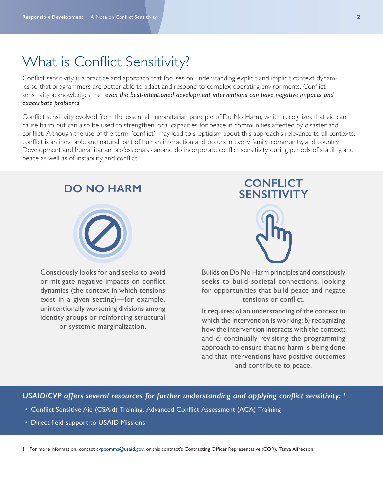### What is Conflict Sensitivity?

Conflict sensitivity is a practice and approach that focuses on understanding explicit and implicit context dynamics so that programmers are better able to adapt and respond to complex operating environments. Conflict sensitivity acknowledges that *even the best-intentioned development interventions can have negative impacts and exacerbate problems*.

Conflict sensitivity evolved from the essential humanitarian principle of Do No Harm, which recognizes that aid can cause harm but can also be used to strengthen local capacities for peace in communities affected by disaster and conflict. Although the use of the term "conflict" may lead to skepticism about this approach's relevance to all contexts, conflict is an inevitable and natural part of human interaction and occurs in every family, community, and country. Development and humanitarian professionals can and do incorporate conflict sensitivity during periods of stability and peace as well as of instability and conflict.



Consciously looks for and seeks to avoid or mitigate negative impacts on conflict dynamics (the context in which tensions exist in a given setting)—for example, unintentionally worsening divisions among identity groups or reinforcing structural or systemic marginalization.



Builds on Do No Harm principles and consciously seeks to build societal connections, looking for opportunities that build peace and negate tensions or conflict.

It requires: *a)* an understanding of the context in which the intervention is working; *b)* recognizing how the intervention interacts with the context; and *c)* continually revisiting the programming approach to ensure that no harm is being done and that interventions have positive outcomes and contribute to peace.

*USAID/CVP offers several resources for further understanding and applying conflict sensitivity: <sup>1</sup>*

- Conflict Sensitive Aid (CSAid) Training, Advanced Conflict Assessment (ACA) Training
- Direct field support to USAID Missions

<sup>1</sup> For more information, contact [cvpcomms@usaid.gov,](mailto:cvpcomms%40usaid.gov?subject=) or this contract's Contracting Officer Representative (COR), Tanya Alfredson.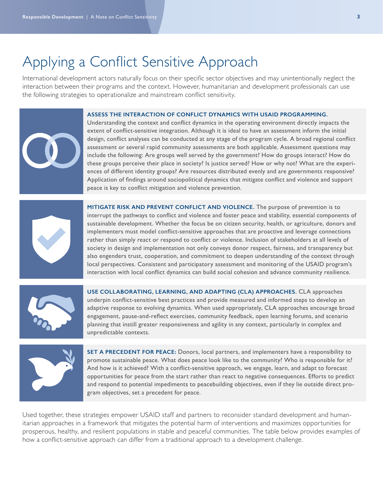### Applying a Conflict Sensitive Approach

International development actors naturally focus on their specific sector objectives and may unintentionally neglect the interaction between their programs and the context. However, humanitarian and development professionals can use the following strategies to operationalize and mainstream conflict sensitivity.

### **ASSESS THE INTERACTION OF CONFLICT DYNAMICS WITH USAID PROGRAMMING.**



Understanding the context and conflict dynamics in the operating environment directly impacts the extent of conflict-sensitive integration. Although it is ideal to have an assessment inform the initial design, conflict analyses can be conducted at any stage of the program cycle. A broad regional conflict assessment or several rapid community assessments are both applicable. Assessment questions may include the following: Are groups well served by the government? How do groups interact? How do these groups perceive their place in society? Is justice served? How or why not? What are the experiences of different identity groups? Are resources distributed evenly and are governments responsive? Application of findings around sociopolitical dynamics that mitigate conflict and violence and support peace is key to conflict mitigation and violence prevention.



**MITIGATE RISK AND PREVENT CONFLICT AND VIOLENCE.** The purpose of prevention is to interrupt the pathways to conflict and violence and foster peace and stability, essential components of sustainable development. Whether the focus be on citizen security, health, or agriculture, donors and implementers must model conflict-sensitive approaches that are proactive and leverage connections rather than simply react or respond to conflict or violence. Inclusion of stakeholders at all levels of society in design and implementation not only conveys donor respect, fairness, and transparency but also engenders trust, cooperation, and commitment to deepen understanding of the context through local perspectives. Consistent and participatory assessment and monitoring of the USAID program's interaction with local conflict dynamics can build social cohesion and advance community resilience.



**USE COLLABORATING, LEARNING, AND ADAPTING (CLA) APPROACHES.** CLA approaches underpin conflict-sensitive best practices and provide measured and informed steps to develop an adaptive response to evolving dynamics. When used appropriately, CLA approaches encourage broad engagement, pause-and-reflect exercises, community feedback, open learning forums, and scenario planning that instill greater responsiveness and agility in any context, particularly in complex and unpredictable contexts.



**SET A PRECEDENT FOR PEACE:** Donors, local partners, and implementers have a responsibility to promote sustainable peace. What does peace look like to the community? Who is responsible for it? And how is it achieved? With a conflict-sensitive approach, we engage, learn, and adapt to forecast opportunities for peace from the start rather than react to negative consequences. Efforts to predict and respond to potential impediments to peacebuilding objectives, even if they lie outside direct program objectives, set a precedent for peace.

Used together, these strategies empower USAID staff and partners to reconsider standard development and humanitarian approaches in a framework that mitigates the potential harm of interventions and maximizes opportunities for prosperous, healthy, and resilient populations in stable and peaceful communities. The table below provides examples of how a conflict-sensitive approach can differ from a traditional approach to a development challenge.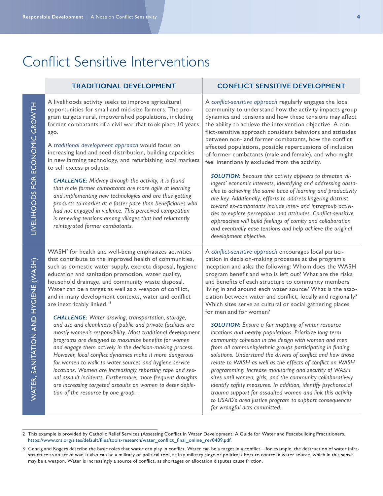### Conflict Sensitive Interventions

| <b>TRADITIONAL DEVELOPMENT</b>                                                                                                                                                                                                                                                                                                                                                                                                                                                                                                                                                                                                                                                                                                                                                                                                                                                                                                                                                                                                                                                                                                     | <b>CONFLICT SENSITIVE DEVELOPMENT</b>                                                                                                                                                                                                                                                                                                                                                                                                                                                                                                                                                                                                                                                                                                                                                                                                                                                                                                                                                                                                                                                                                                                                                                                             |
|------------------------------------------------------------------------------------------------------------------------------------------------------------------------------------------------------------------------------------------------------------------------------------------------------------------------------------------------------------------------------------------------------------------------------------------------------------------------------------------------------------------------------------------------------------------------------------------------------------------------------------------------------------------------------------------------------------------------------------------------------------------------------------------------------------------------------------------------------------------------------------------------------------------------------------------------------------------------------------------------------------------------------------------------------------------------------------------------------------------------------------|-----------------------------------------------------------------------------------------------------------------------------------------------------------------------------------------------------------------------------------------------------------------------------------------------------------------------------------------------------------------------------------------------------------------------------------------------------------------------------------------------------------------------------------------------------------------------------------------------------------------------------------------------------------------------------------------------------------------------------------------------------------------------------------------------------------------------------------------------------------------------------------------------------------------------------------------------------------------------------------------------------------------------------------------------------------------------------------------------------------------------------------------------------------------------------------------------------------------------------------|
| A livelihoods activity seeks to improve agricultural<br>opportunities for small and mid-size farmers. The pro-<br>gram targets rural, impoverished populations, including<br>former combatants of a civil war that took place 10 years<br>ago.<br>A traditional development approach would focus on<br>increasing land and seed distribution, building capacities<br>in new farming technology, and refurbishing local markets<br>to sell excess products.<br><b>CHALLENGE:</b> Midway through the activity, it is found<br>that male former combatants are more agile at learning<br>and implementing new technologies and are thus getting<br>products to market at a faster pace than beneficiaries who<br>had not engaged in violence. This perceived competition<br>is renewing tensions among villages that had reluctantly<br>reintegrated former combatants.                                                                                                                                                                                                                                                               | A conflict-sensitive approach regularly engages the local<br>community to understand how the activity impacts group<br>dynamics and tensions and how these tensions may affect<br>the ability to achieve the intervention objective. A con-<br>flict-sensitive approach considers behaviors and attitudes<br>between non- and former combatants, how the conflict<br>affected populations, possible repercussions of inclusion<br>of former combatants (male and female), and who might<br>feel intentionally excluded from the activity.<br>SOLUTION: Because this activity appears to threaten vil-<br>lagers' economic interests, identifying and addressing obsta-<br>cles to achieving the same pace of learning and productivity<br>are key. Additionally, efforts to address lingering distrust<br>toward ex-combatants include inter- and intragroup activi-<br>ties to explore perceptions and attitudes. Conflict-sensitive<br>approaches will build feelings of comity and collaboration<br>and eventually ease tensions and help achieve the original<br>development objective.                                                                                                                                       |
| WASH <sup>2</sup> for health and well-being emphasizes activities<br>that contribute to the improved health of communities,<br>such as domestic water supply, excreta disposal, hygiene<br>education and sanitation promotion, water quality,<br>household drainage, and community waste disposal.<br>Water can be a target as well as a weapon of conflict,<br>and in many development contexts, water and conflict<br>are inextricably linked. <sup>3</sup><br><b>CHALLENGE:</b> Water drawing, transportation, storage,<br>and use and cleanliness of public and private facilities are<br>mostly women's responsibility. Most traditional development<br>programs are designed to maximize benefits for women<br>and engage them actively in the decision-making process.<br>However, local conflict dynamics make it more dangerous<br>for women to walk to water sources and hygiene service<br>locations. Women are increasingly reporting rape and sex-<br>ual assault incidents. Furthermore, more frequent droughts<br>are increasing targeted assaults on women to deter deple-<br>tion of the resource by one group. . | A conflict-sensitive approach encourages local partici-<br>pation in decision-making processes at the program's<br>inception and asks the following: Whom does the WASH<br>program benefit and who is left out? What are the risks<br>and benefits of each structure to community members<br>living in and around each water source? What is the asso-<br>ciation between water and conflict, locally and regionally?<br>Which sites serve as cultural or social gathering places<br>for men and for women?<br><b>SOLUTION:</b> Ensure a fair mapping of water resource<br>locations and nearby populations. Prioritize long-term<br>community cohesion in the design with women and men<br>from all community/ethnic groups participating in finding<br>solutions. Understand the drivers of conflict and how those<br>relate to WASH as well as the effects of conflict on WASH<br>programming. Increase monitoring and security of WASH<br>sites until women, girls, and the community collaboratively<br>identify safety measures. In addition, identify psychosocial<br>trauma support for assaulted women and link this activity<br>to USAID's area justice program to support consequences<br>for wrongful acts committed. |

<sup>2</sup> This example is provided by Catholic Relief Services (Assessing Conflict in Water Development: A Guide for Water and Peacebuilding Practitioners. [https://www.crs.org/sites/default/files/tools-research/water\\_conflict\\_final\\_online\\_rev0409.pdf.](https://www.crs.org/sites/default/files/tools-research/water_conflict_final_online_rev0409.pdf)

<sup>3</sup> Gehrig and Rogers describe the basic roles that water can play in conflict. Water can be a target in a conflict—for example, the destruction of water infrastructure as an act of war. It also can be a military or political tool, as in a military siege or political effort to control a water source, which in this sense may be a weapon. Water is increasingly a source of conflict, as shortages or allocation disputes cause friction.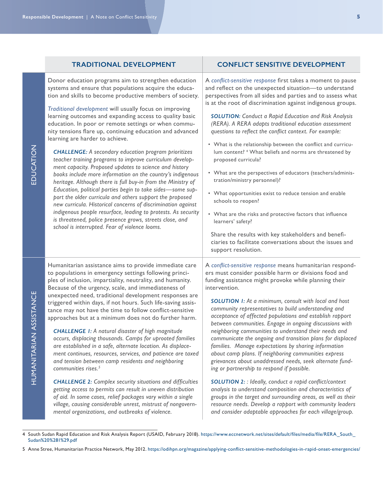| <b>TRADITIONAL DEVELOPMENT</b>                                   | <b>CONFLICT SENSITIVE DEVELOPMENT</b>                              |
|------------------------------------------------------------------|--------------------------------------------------------------------|
| Donor education programs aim to strengthen education             | A conflict-sensitive response first takes a moment to pause        |
| systems and ensure that populations acquire the educa-           | and reflect on the unexpected situation-to understand              |
| tion and skills to become productive members of society.         | perspectives from all sides and parties and to assess what         |
| Traditional development will usually focus on improving          | is at the root of discrimination against indigenous groups.        |
| learning outcomes and expanding access to quality basic          | <b>SOLUTION: Conduct a Rapid Education and Risk Analysis</b>       |
| education. In poor or remote settings or when commu-             | (RERA). A RERA adapts traditional education assessment             |
| nity tensions flare up, continuing education and advanced        | questions to reflect the conflict context. For example:            |
| learning are harder to achieve.                                  | • What is the relationship between the conflict and curricu-       |
| <b>CHALLENGE:</b> A secondary education program prioritizes      | lum content? <sup>4</sup> What beliefs and norms are threatened by |
| teacher training programs to improve curriculum develop-         | proposed curricula?                                                |
| ment capacity. Proposed updates to science and history           | • What are the perspectives of educators (teachers/adminis-        |
| books include more information on the country's indigenous       | tration/ministry personnel)?                                       |
| heritage. Although there is full buy-in from the Ministry of     | • What opportunities exist to reduce tension and enable            |
| Education, political parties begin to take sides-some sup-       | schools to reopen?                                                 |
| port the older curricula and others support the proposed         | • What are the risks and protective factors that influence         |
| new curricula. Historical concerns of discrimination against     | learners' safety?                                                  |
| indigenous people resurface, leading to protests. As security    | Share the results with key stakeholders and benefi-                |
| is threatened, police presence grows, streets close, and         | ciaries to facilitate conversations about the issues and           |
| school is interrupted. Fear of violence looms.                   | support resolution.                                                |
| Humanitarian assistance aims to provide immediate care           | A conflict-sensitive response means humanitarian respond-          |
| to populations in emergency settings following princi-           | ers must consider possible harm or divisions food and              |
| ples of inclusion, impartiality, neutrality, and humanity.       | funding assistance might provoke while planning their              |
| Because of the urgency, scale, and immediateness of              | intervention.                                                      |
| unexpected need, traditional development responses are           | <b>SOLUTION I:</b> At a minimum, consult with local and host       |
| triggered within days, if not hours. Such life-saving assis-     | community representatives to build understanding and               |
| tance may not have the time to follow conflict-sensitive         | acceptance of affected populations and establish rapport           |
| approaches but at a minimum does not do further harm.            | between communities. Engage in ongoing discussions with            |
| <b>CHALLENGE 1:</b> A natural disaster of high magnitude         | neighboring communities to understand their needs and              |
| occurs, displacing thousands. Camps for uprooted families        | communicate the ongoing and transition plans for displaced         |
| are established in a safe, alternate location. As displace-      | families. Manage expectations by sharing information               |
| ment continues, resources, services, and patience are taxed      | about camp plans. If neighboring communities express               |
| and tension between camp residents and neighboring               | grievances about unaddressed needs, seek alternate fund-           |
| communities rises. <sup>5</sup>                                  | ing or partnership to respond if possible.                         |
| <b>CHALLENGE 2: Complex security situations and difficulties</b> | SOLUTION 2: : Ideally, conduct a rapid conflict/context            |
| getting access to permits can result in uneven distribution      | analysis to understand composition and characteristics of          |
| of aid. In some cases, relief packages vary within a single      | groups in the target and surrounding areas, as well as their       |
| village, causing considerable unrest, mistrust of nongovern-     | resource needs. Develop a rapport with community leaders           |
| mental organizations, and outbreaks of violence.                 | and consider adaptable approaches for each village/group.          |

<sup>4</sup> South Sudan Rapid Education and Risk Analysis Report (USAID, February 2018). [https://www.eccnetwork.net/sites/default/files/media/file/RERA\\_South\\_](https://www.eccnetwork.net/sites/default/files/media/file/RERA_South_Sudan%20%281%29.pdf) [Sudan%20%281%29.pdf](https://www.eccnetwork.net/sites/default/files/media/file/RERA_South_Sudan%20%281%29.pdf)

<sup>5</sup> Anne Stree, Humanitarian Practice Network, May 2012.<https://odihpn.org/magazine/applying-conflict-sensitive-methodologies-in-rapid-onset-emergencies/>